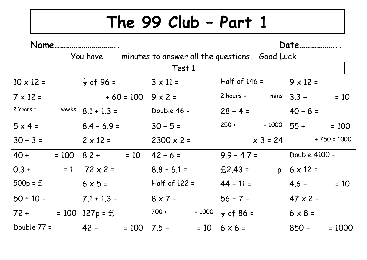## **The 99 Club – Part 1**

| Name               |                                                         |                     |                           | Date                |
|--------------------|---------------------------------------------------------|---------------------|---------------------------|---------------------|
|                    | You have minutes to answer all the questions. Good Luck |                     |                           |                     |
|                    |                                                         | Test 1              |                           |                     |
| $10 \times 12 =$   | $\frac{1}{2}$ of 96 =                                   | $3 \times 11 =$     | Half of $146 =$           | $9 \times 12 =$     |
| $7 \times 12 =$    | $+ 60 = 100$                                            | $9 \times 2 =$      | mins<br>$2$ hours =       | $3.3 +$<br>$= 10$   |
| 2 Years =<br>weeks | $8.1 + 1.3 =$                                           | Double 46 =         | $28 \div 4 =$             | $40 \div 8 =$       |
| $5 \times 4 =$     | $8.4 - 6.9 =$                                           | $30 \div 5 =$       | $250 +$<br>$= 1000$       | $55 +$<br>$= 100$   |
| $30 \div 3 =$      | $2 \times 12 =$                                         | $2300 \times 2 =$   | $x 3 = 24$                | $+ 750 = 1000$      |
| 40 +<br>$= 100$    | $8.2 +$<br>$= 10$                                       | $42 \div 6 =$       | $9.9 - 4.7 =$             | Double 4100 =       |
| $0.3 +$<br>$= 1$   | $72 \times 2 =$                                         | $8.8 - 6.1 =$       | $£2.43 =$<br>$\mathsf{p}$ | $6 \times 12 =$     |
| $500p = E$         | $6 \times 5 =$                                          | Half of 122 =       | $44 \div 11 =$            | $= 10$<br>$4.6 +$   |
| $50 \div 10 =$     | $7.1 + 1.3 =$                                           | $8 \times 7 =$      | $56 \div 7 =$             | $47 \times 2 =$     |
| $72 + 100$         | $127p = E$                                              | $700 +$<br>$= 1000$ | $\frac{1}{2}$ of 86 =     | $6 \times 8 =$      |
| Double 77 =        | $42 +$<br>$= 100$                                       | $7.5 +$<br>$= 10$   | $6 \times 6 =$            | $850 +$<br>$= 1000$ |